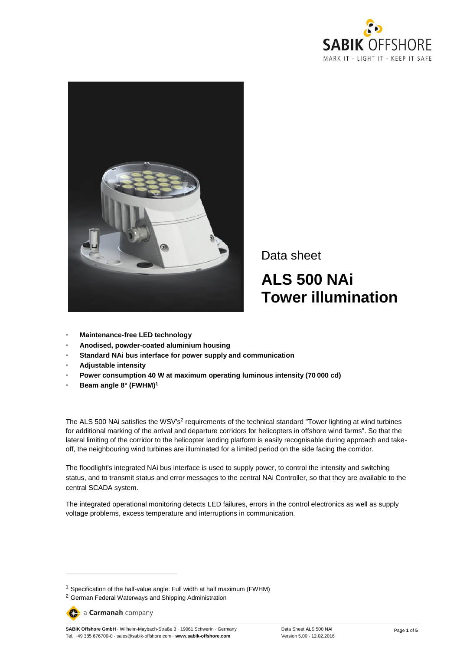



Data sheet **ALS 500 NAi Tower illumination**

- **Maintenance-free LED technology**
- **Anodised, powder-coated aluminium housing**
- **Standard NAi bus interface for power supply and communication**
- **Adjustable intensity**
- **Power consumption 40 W at maximum operating luminous intensity (70 000 cd)**
- **Beam angle 8° (FWHM)<sup>1</sup>**

The ALS 500 NAi satisfies the WSV's<sup>2</sup> requirements of the technical standard "Tower lighting at wind turbines for additional marking of the arrival and departure corridors for helicopters in offshore wind farms". So that the lateral limiting of the corridor to the helicopter landing platform is easily recognisable during approach and takeoff, the neighbouring wind turbines are illuminated for a limited period on the side facing the corridor.

The floodlight's integrated NAi bus interface is used to supply power, to control the intensity and switching status, and to transmit status and error messages to the central NAi Controller, so that they are available to the central SCADA system.

The integrated operational monitoring detects LED failures, errors in the control electronics as well as supply voltage problems, excess temperature and interruptions in communication.

a Carmanah company

-

**SABIK Offshore GmbH** · Wilhelm-Maybach-Straße 3 · 19061 Schwerin · Germany Tel. +49 385 676700-0 · sales@sabik-offshore.com · **www.sabik-offshore.com**

<sup>1</sup> Specification of the half-value angle: Full width at half maximum (FWHM)

<sup>&</sup>lt;sup>2</sup> German Federal Waterways and Shipping Administration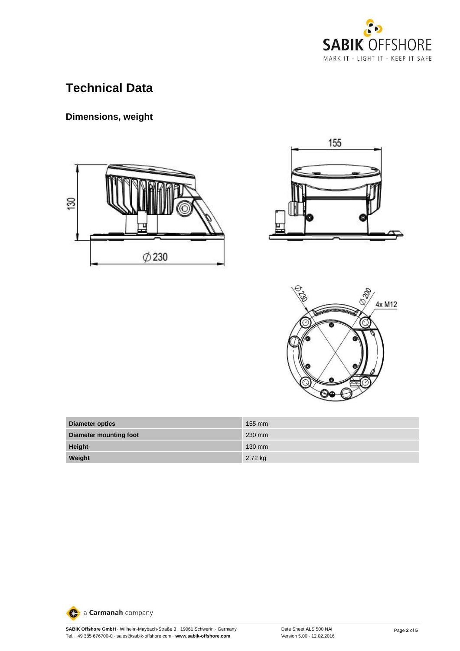

# **Technical Data**

## **Dimensions, weight**







| <b>Diameter optics</b> | $155 \text{ mm}$ |
|------------------------|------------------|
| Diameter mounting foot | 230 mm           |
| Height                 | $130$ mm         |
| Weight                 | 2.72 kg          |

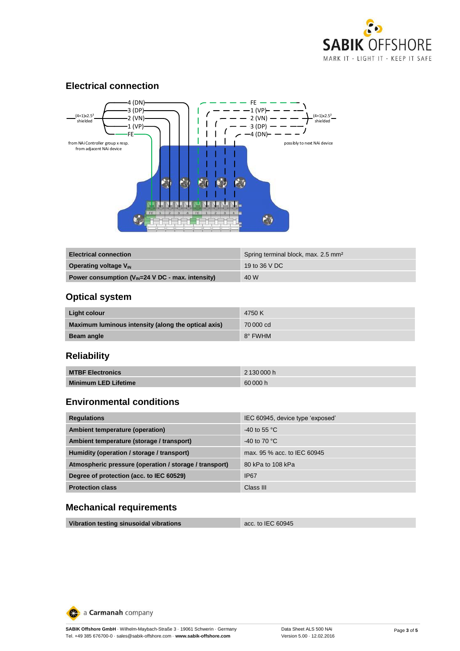

#### **Electrical connection**



| <b>Electrical connection</b>                          | Spring terminal block, max. 2.5 mm <sup>2</sup> |
|-------------------------------------------------------|-------------------------------------------------|
| Operating voltage $V_{\text{IN}}$                     | 19 to 36 V DC                                   |
| Power consumption $(V_{IN}=24$ V DC - max. intensity) | 40 W                                            |

### **Optical system**

| Light colour                                        | 4750 K    |
|-----------------------------------------------------|-----------|
| Maximum luminous intensity (along the optical axis) | 70 000 cd |
| Beam angle                                          | 8° FWHM   |

## **Reliability**

| <b>MTBF Electronics</b>     | 2 130 000 h |
|-----------------------------|-------------|
| <b>Minimum LED Lifetime</b> | 60 000 h    |

#### **Environmental conditions**

| <b>Regulations</b>                                     | IEC 60945, device type 'exposed' |
|--------------------------------------------------------|----------------------------------|
| Ambient temperature (operation)                        | $-40$ to 55 °C                   |
| Ambient temperature (storage / transport)              | $-40$ to 70 °C                   |
| Humidity (operation / storage / transport)             | max, 95 % acc, to IEC 60945      |
| Atmospheric pressure (operation / storage / transport) | 80 kPa to 108 kPa                |
| Degree of protection (acc. to IEC 60529)               | <b>IP67</b>                      |
| <b>Protection class</b>                                | Class III                        |

### **Mechanical requirements**

| Vibration testing sinusoidal vibrations | acc. to IEC 60945 |
|-----------------------------------------|-------------------|
|-----------------------------------------|-------------------|

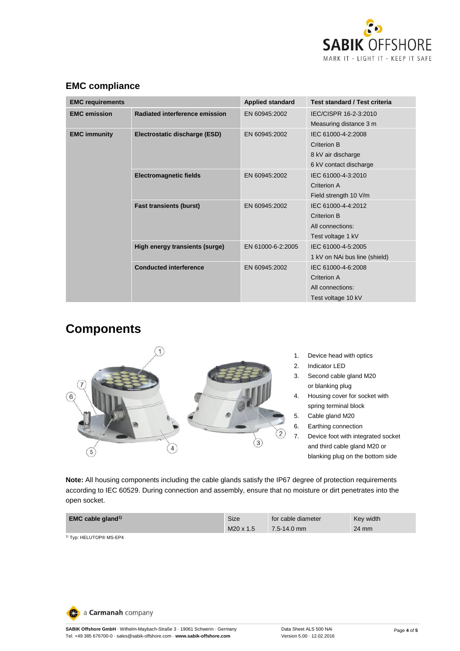

| <b>EMC requirements</b>                                         |                                | <b>Applied standard</b>                             | Test standard / Test criteria                                                     |
|-----------------------------------------------------------------|--------------------------------|-----------------------------------------------------|-----------------------------------------------------------------------------------|
| <b>EMC</b> emission                                             | Radiated interference emission | EN 60945:2002                                       | IEC/CISPR 16-2-3:2010<br>Measuring distance 3 m                                   |
| <b>EMC immunity</b>                                             | Electrostatic discharge (ESD)  | EN 60945:2002                                       | IEC 61000-4-2:2008<br>Criterion B<br>8 kV air discharge<br>6 kV contact discharge |
|                                                                 | <b>Electromagnetic fields</b>  | EN 60945:2002                                       | IEC 61000-4-3:2010<br>Criterion A<br>Field strength 10 V/m                        |
|                                                                 | <b>Fast transients (burst)</b> | EN 60945:2002                                       | IEC 61000-4-4:2012<br>Criterion B<br>All connections:<br>Test voltage 1 kV        |
| High energy transients (surge)<br><b>Conducted interference</b> | EN 61000-6-2:2005              | IEC 61000-4-5:2005<br>1 kV on NAi bus line (shield) |                                                                                   |
|                                                                 |                                | EN 60945:2002                                       | IEC 61000-4-6:2008<br>Criterion A<br>All connections:<br>Test voltage 10 kV       |

## **EMC compliance**

# **Components**



- 
- 4. Housing cover for socket with
- 7. Device foot with integrated socket and third cable gland M20 or blanking plug on the bottom side

**Note:** All housing components including the cable glands satisfy the IP67 degree of protection requirements according to IEC 60529. During connection and assembly, ensure that no moisture or dirt penetrates into the open socket.

| <b>EMC</b> cable gland <sup>1)</sup> | Size      | for cable diameter | Key width |
|--------------------------------------|-----------|--------------------|-----------|
|                                      | M20 x 1.5 | $7.5 - 14.0$ mm    | 24 mm     |
| <sup>1)</sup> Typ: HELUTOP® MS-EP4   |           |                    |           |